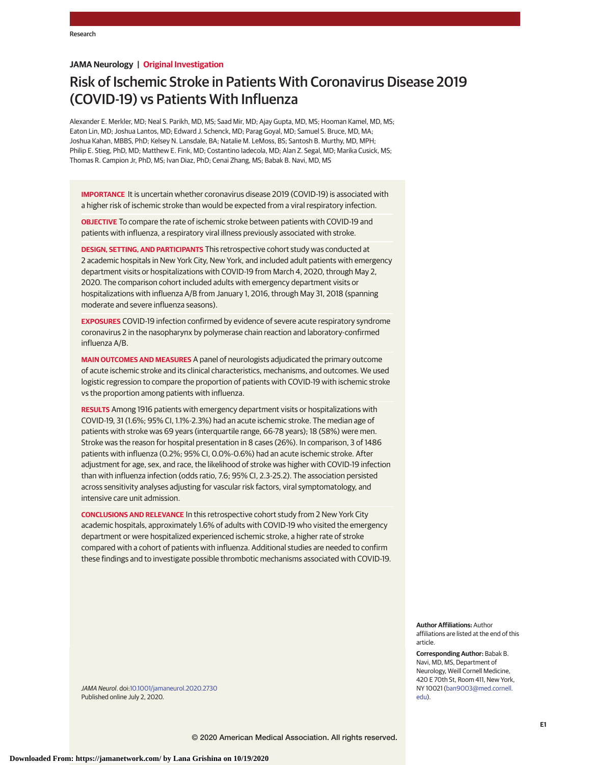# **JAMA Neurology | Original Investigation**

# Risk of Ischemic Stroke in Patients With Coronavirus Disease 2019 (COVID-19) vs Patients With Influenza

Alexander E. Merkler, MD; Neal S. Parikh, MD, MS; Saad Mir, MD; Ajay Gupta, MD, MS; Hooman Kamel, MD, MS; Eaton Lin, MD; Joshua Lantos, MD; Edward J. Schenck, MD; Parag Goyal, MD; Samuel S. Bruce, MD, MA; Joshua Kahan, MBBS, PhD; Kelsey N. Lansdale, BA; Natalie M. LeMoss, BS; Santosh B. Murthy, MD, MPH; Philip E. Stieg, PhD, MD; Matthew E. Fink, MD; Costantino Iadecola, MD; Alan Z. Segal, MD; Marika Cusick, MS; Thomas R. Campion Jr, PhD, MS; Ivan Diaz, PhD; Cenai Zhang, MS; Babak B. Navi, MD, MS

**IMPORTANCE** It is uncertain whether coronavirus disease 2019 (COVID-19) is associated with a higher risk of ischemic stroke than would be expected from a viral respiratory infection.

**OBJECTIVE** To compare the rate of ischemic stroke between patients with COVID-19 and patients with influenza, a respiratory viral illness previously associated with stroke.

**DESIGN, SETTING, AND PARTICIPANTS** This retrospective cohort study was conducted at 2 academic hospitals in New York City, New York, and included adult patients with emergency department visits or hospitalizations with COVID-19 from March 4, 2020, through May 2, 2020. The comparison cohort included adults with emergency department visits or hospitalizations with influenza A/B from January 1, 2016, through May 31, 2018 (spanning moderate and severe influenza seasons).

**EXPOSURES** COVID-19 infection confirmed by evidence of severe acute respiratory syndrome coronavirus 2 in the nasopharynx by polymerase chain reaction and laboratory-confirmed influenza A/B.

**MAIN OUTCOMES AND MEASURES** A panel of neurologists adjudicated the primary outcome of acute ischemic stroke and its clinical characteristics, mechanisms, and outcomes. We used logistic regression to compare the proportion of patients with COVID-19 with ischemic stroke vs the proportion among patients with influenza.

**RESULTS** Among 1916 patients with emergency department visits or hospitalizations with COVID-19, 31 (1.6%; 95% CI, 1.1%-2.3%) had an acute ischemic stroke. The median age of patients with stroke was 69 years (interquartile range, 66-78 years); 18 (58%) were men. Stroke was the reason for hospital presentation in 8 cases (26%). In comparison, 3 of 1486 patients with influenza (0.2%; 95% CI, 0.0%-0.6%) had an acute ischemic stroke. After adjustment for age, sex, and race, the likelihood of stroke was higher with COVID-19 infection than with influenza infection (odds ratio, 7.6; 95% CI, 2.3-25.2). The association persisted across sensitivity analyses adjusting for vascular risk factors, viral symptomatology, and intensive care unit admission.

**CONCLUSIONS AND RELEVANCE** In this retrospective cohort study from 2 New York City academic hospitals, approximately 1.6% of adults with COVID-19 who visited the emergency department or were hospitalized experienced ischemic stroke, a higher rate of stroke compared with a cohort of patients with influenza. Additional studies are needed to confirm these findings and to investigate possible thrombotic mechanisms associated with COVID-19.

> **Author Affiliations:** Author affiliations are listed at the end of this article.

**Corresponding Author:** Babak B. Navi, MD, MS, Department of Neurology, Weill Cornell Medicine, 420 E 70th St, Room 411, New York, NY 10021 [\(ban9003@med.cornell.](mailto:ban9003@med.cornell.edu) [edu\)](mailto:ban9003@med.cornell.edu).

JAMA Neurol. doi[:10.1001/jamaneurol.2020.2730](https://jamanetwork.com/journals/jama/fullarticle/10.1001/jamaneurol.2020.2730?utm_campaign=articlePDF%26utm_medium=articlePDFlink%26utm_source=articlePDF%26utm_content=jamaneurol.2020.2730) Published online July 2, 2020.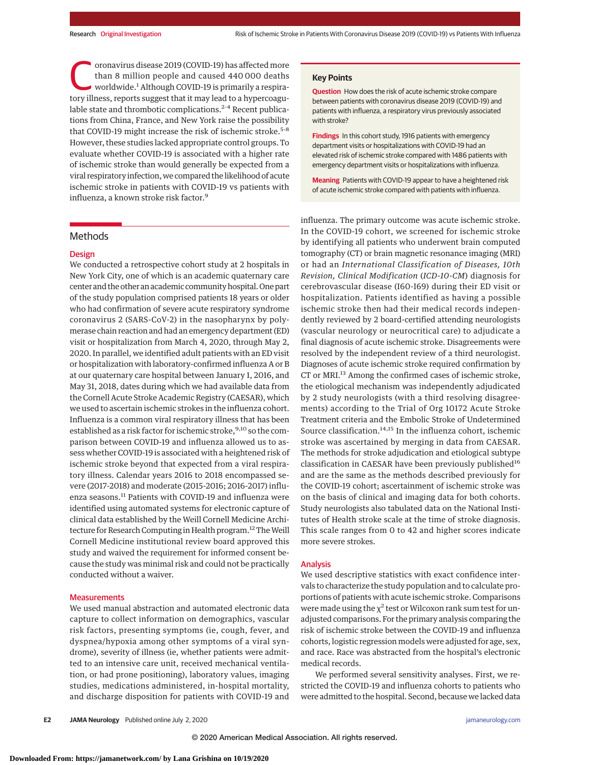oronavirus disease 2019 (COVID-19) has affected more<br>than 8 million people and caused 440 000 deaths<br>worldwide.<sup>1</sup> Although COVID-19 is primarily a respira-<br>tory illness, reports suggest that it may lead to a hyperceasu. than 8 million people and caused 440 000 deaths tory illness, reports suggest that it may lead to a hypercoagulable state and thrombotic complications.<sup>2-4</sup> Recent publications from China, France, and New York raise the possibility that COVID-19 might increase the risk of ischemic stroke.<sup>5-8</sup> However, these studies lacked appropriate control groups. To evaluate whether COVID-19 is associated with a higher rate of ischemic stroke than would generally be expected from a viral respiratory infection, we compared the likelihood of acute ischemic stroke in patients with COVID-19 vs patients with influenza, a known stroke risk factor.9

#### Methods

#### **Design**

We conducted a retrospective cohort study at 2 hospitals in New York City, one of which is an academic quaternary care center and the other an academic community hospital. One part of the study population comprised patients 18 years or older who had confirmation of severe acute respiratory syndrome coronavirus 2 (SARS-CoV-2) in the nasopharynx by polymerase chain reaction and had an emergency department (ED) visit or hospitalization from March 4, 2020, through May 2, 2020. In parallel, we identified adult patients with an ED visit or hospitalization with laboratory-confirmed influenza A or B at our quaternary care hospital between January 1, 2016, and May 31, 2018, dates during which we had available data from the Cornell Acute Stroke Academic Registry (CAESAR), which we used to ascertain ischemic strokes in the influenza cohort. Influenza is a common viral respiratory illness that has been established as a risk factor for ischemic stroke, <sup>9,10</sup> so the comparison between COVID-19 and influenza allowed us to assess whether COVID-19 is associated with a heightened risk of ischemic stroke beyond that expected from a viral respiratory illness. Calendar years 2016 to 2018 encompassed severe (2017-2018) and moderate (2015-2016; 2016-2017) influenza seasons.<sup>11</sup> Patients with COVID-19 and influenza were identified using automated systems for electronic capture of clinical data established by the Weill Cornell Medicine Architecture for Research Computing in Health program.<sup>12</sup> The Weill Cornell Medicine institutional review board approved this study and waived the requirement for informed consent because the study was minimal risk and could not be practically conducted without a waiver.

#### **Measurements**

We used manual abstraction and automated electronic data capture to collect information on demographics, vascular risk factors, presenting symptoms (ie, cough, fever, and dyspnea/hypoxia among other symptoms of a viral syndrome), severity of illness (ie, whether patients were admitted to an intensive care unit, received mechanical ventilation, or had prone positioning), laboratory values, imaging studies, medications administered, in-hospital mortality, and discharge disposition for patients with COVID-19 and

#### **Key Points**

**Question** How does the risk of acute ischemic stroke compare between patients with coronavirus disease 2019 (COVID-19) and patients with influenza, a respiratory virus previously associated with stroke?

**Findings** In this cohort study, 1916 patients with emergency department visits or hospitalizations with COVID-19 had an elevated risk of ischemic stroke compared with 1486 patients with emergency department visits or hospitalizations with influenza.

**Meaning** Patients with COVID-19 appear to have a heightened risk of acute ischemic stroke compared with patients with influenza.

influenza. The primary outcome was acute ischemic stroke. In the COVID-19 cohort, we screened for ischemic stroke by identifying all patients who underwent brain computed tomography (CT) or brain magnetic resonance imaging (MRI) or had an *International Classification of Diseases, 10th Revision, Clinical Modification* (*ICD-10-CM*) diagnosis for cerebrovascular disease (I60-I69) during their ED visit or hospitalization. Patients identified as having a possible ischemic stroke then had their medical records independently reviewed by 2 board-certified attending neurologists (vascular neurology or neurocritical care) to adjudicate a final diagnosis of acute ischemic stroke. Disagreements were resolved by the independent review of a third neurologist. Diagnoses of acute ischemic stroke required confirmation by CT or MRI.<sup>13</sup> Among the confirmed cases of ischemic stroke, the etiological mechanism was independently adjudicated by 2 study neurologists (with a third resolving disagreements) according to the Trial of Org 10172 Acute Stroke Treatment criteria and the Embolic Stroke of Undetermined Source classification.<sup>14,15</sup> In the influenza cohort, ischemic stroke was ascertained by merging in data from CAESAR. The methods for stroke adjudication and etiological subtype classification in CAESAR have been previously published<sup>16</sup> and are the same as the methods described previously for the COVID-19 cohort; ascertainment of ischemic stroke was on the basis of clinical and imaging data for both cohorts. Study neurologists also tabulated data on the National Institutes of Health stroke scale at the time of stroke diagnosis. This scale ranges from 0 to 42 and higher scores indicate more severe strokes.

## Analysis

We used descriptive statistics with exact confidence intervals to characterize the study population and to calculate proportions of patients with acute ischemic stroke. Comparisons were made using the  $\chi^2$  test or Wilcoxon rank sum test for unadjusted comparisons. For the primary analysis comparing the risk of ischemic stroke between the COVID-19 and influenza cohorts, logistic regression models were adjusted for age, sex, and race. Race was abstracted from the hospital's electronic medical records.

We performed several sensitivity analyses. First, we restricted the COVID-19 and influenza cohorts to patients who were admitted to the hospital. Second, because we lacked data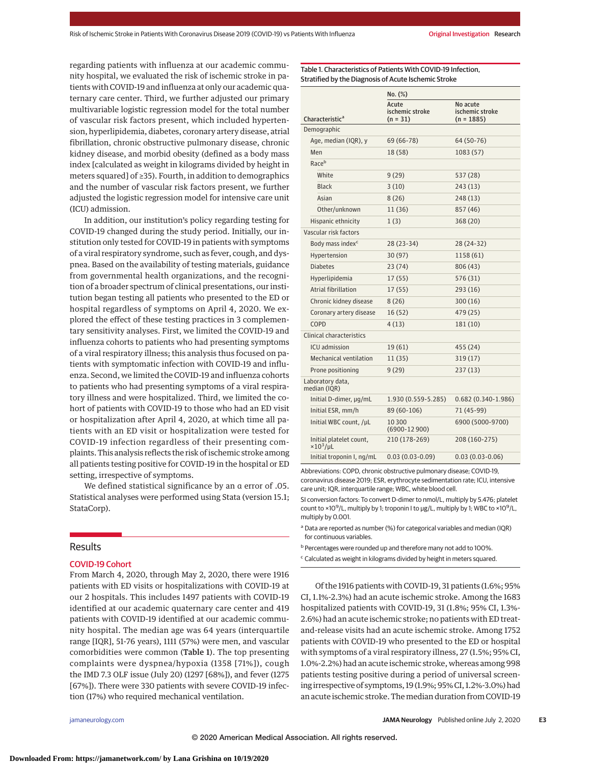regarding patients with influenza at our academic community hospital, we evaluated the risk of ischemic stroke in patients with COVID-19 and influenza at only our academic quaternary care center. Third, we further adjusted our primary multivariable logistic regression model for the total number of vascular risk factors present, which included hypertension, hyperlipidemia, diabetes, coronary artery disease, atrial fibrillation, chronic obstructive pulmonary disease, chronic kidney disease, and morbid obesity (defined as a body mass index [calculated as weight in kilograms divided by height in meters squared] of ≥35). Fourth, in addition to demographics and the number of vascular risk factors present, we further adjusted the logistic regression model for intensive care unit (ICU) admission.

In addition, our institution's policy regarding testing for COVID-19 changed during the study period. Initially, our institution only tested for COVID-19 in patients with symptoms of a viral respiratory syndrome, such as fever, cough, and dyspnea. Based on the availability of testing materials, guidance from governmental health organizations, and the recognition of a broader spectrum of clinical presentations, our institution began testing all patients who presented to the ED or hospital regardless of symptoms on April 4, 2020. We explored the effect of these testing practices in 3 complementary sensitivity analyses. First, we limited the COVID-19 and influenza cohorts to patients who had presenting symptoms of a viral respiratory illness; this analysis thus focused on patients with symptomatic infection with COVID-19 and influenza. Second, we limited the COVID-19 and influenza cohorts to patients who had presenting symptoms of a viral respiratory illness and were hospitalized. Third, we limited the cohort of patients with COVID-19 to those who had an ED visit or hospitalization after April 4, 2020, at which time all patients with an ED visit or hospitalization were tested for COVID-19 infection regardless of their presenting complaints. This analysis reflects the risk of ischemic stroke among all patients testing positive for COVID-19 in the hospital or ED setting, irrespective of symptoms.

We defined statistical significance by an α error of .05. Statistical analyses were performed using Stata (version 15.1; StataCorp).

## **Results**

## COVID-19 Cohort

From March 4, 2020, through May 2, 2020, there were 1916 patients with ED visits or hospitalizations with COVID-19 at our 2 hospitals. This includes 1497 patients with COVID-19 identified at our academic quaternary care center and 419 patients with COVID-19 identified at our academic community hospital. The median age was 64 years (interquartile range [IQR], 51-76 years), 1111 (57%) were men, and vascular comorbidities were common (Table 1). The top presenting complaints were dyspnea/hypoxia (1358 [71%]), cough the IMD 7.3 OLF issue (July 20) (1297 [68%]), and fever (1275 [67%]). There were 330 patients with severe COVID-19 infection (17%) who required mechanical ventilation.

Table 1. Characteristics of Patients With COVID-19 Infection, Stratified by the Diagnosis of Acute Ischemic Stroke

|                                              | No. (%)                                |                                             |  |  |
|----------------------------------------------|----------------------------------------|---------------------------------------------|--|--|
| Characteristic <sup>a</sup>                  | Acute<br>ischemic stroke<br>$(n = 31)$ | No acute<br>ischemic stroke<br>$(n = 1885)$ |  |  |
| Demographic                                  |                                        |                                             |  |  |
| Age, median (IQR), y                         | 69 (66-78)                             | 64 (50-76)                                  |  |  |
| Men                                          | 18 (58)                                | 1083 (57)                                   |  |  |
| Raceb                                        |                                        |                                             |  |  |
| White                                        | 9(29)                                  | 537 (28)                                    |  |  |
| <b>Black</b>                                 | 3(10)                                  | 243 (13)                                    |  |  |
| Asian                                        | 8(26)                                  | 248 (13)                                    |  |  |
| Other/unknown                                | 11 (36)                                | 857 (46)                                    |  |  |
| Hispanic ethnicity                           | 1(3)                                   | 368 (20)                                    |  |  |
| Vascular risk factors                        |                                        |                                             |  |  |
| Body mass index <sup>c</sup>                 | 28 (23-34)                             | 28 (24-32)                                  |  |  |
| Hypertension                                 | 30 (97)                                | 1158 (61)                                   |  |  |
| <b>Diabetes</b>                              | 23(74)                                 | 806 (43)                                    |  |  |
| Hyperlipidemia                               | 17(55)                                 | 576 (31)                                    |  |  |
| Atrial fibrillation                          | 17 (55)                                | 293 (16)                                    |  |  |
| Chronic kidney disease                       | 8(26)                                  | 300(16)                                     |  |  |
| Coronary artery disease                      | 16(52)                                 | 479 (25)                                    |  |  |
| COPD                                         | 4 (13)                                 | 181 (10)                                    |  |  |
| Clinical characteristics                     |                                        |                                             |  |  |
| <b>ICU</b> admission                         | 19 (61)                                | 455 (24)                                    |  |  |
| <b>Mechanical ventilation</b>                | 11 (35)                                | 319(17)                                     |  |  |
| Prone positioning                            | 9 (29)                                 | 237 (13)                                    |  |  |
| Laboratory data,<br>median (IQR)             |                                        |                                             |  |  |
| Initial D-dimer, µg/mL                       | 1.930 (0.559-5.285)                    | $0.682(0.340-1.986)$                        |  |  |
| Initial ESR, mm/h                            | 89 (60-106)                            | 71 (45-99)                                  |  |  |
| Initial WBC count, /µL                       | 10300<br>$(6900 - 12900)$              | 6900 (5000-9700)                            |  |  |
| Initial platelet count,<br>$\times 10^3$ /µL | 210 (178-269)                          | 208 (160-275)                               |  |  |
| Initial troponin I, ng/mL                    | $0.03(0.03-0.09)$                      | $0.03(0.03-0.06)$                           |  |  |

Abbreviations: COPD, chronic obstructive pulmonary disease; COVID-19, coronavirus disease 2019; ESR, erythrocyte sedimentation rate; ICU, intensive care unit; IQR, interquartile range; WBC, white blood cell.

SI conversion factors: To convert D-dimer to nmol/L, multiply by 5.476; platelet count to ×10<sup>9</sup>/L, multiply by 1; troponin I to μg/L, multiply by 1; WBC to ×10<sup>9</sup>/L, multiply by 0.001.

<sup>a</sup> Data are reported as number (%) for categorical variables and median (IQR) for continuous variables.

<sup>b</sup> Percentages were rounded up and therefore many not add to 100%.

<sup>c</sup> Calculated as weight in kilograms divided by height in meters squared.

Of the 1916 patients with COVID-19, 31 patients (1.6%; 95% CI, 1.1%-2.3%) had an acute ischemic stroke. Among the 1683 hospitalized patients with COVID-19, 31 (1.8%; 95% CI, 1.3%- 2.6%) had an acute ischemic stroke; no patients with ED treatand-release visits had an acute ischemic stroke. Among 1752 patients with COVID-19 who presented to the ED or hospital with symptoms of a viral respiratory illness, 27 (1.5%; 95% CI, 1.0%-2.2%) had an acute ischemic stroke, whereas among 998 patients testing positive during a period of universal screening irrespective of symptoms, 19 (1.9%; 95% CI, 1.2%-3.0%) had an acute ischemic stroke. The median duration from COVID-19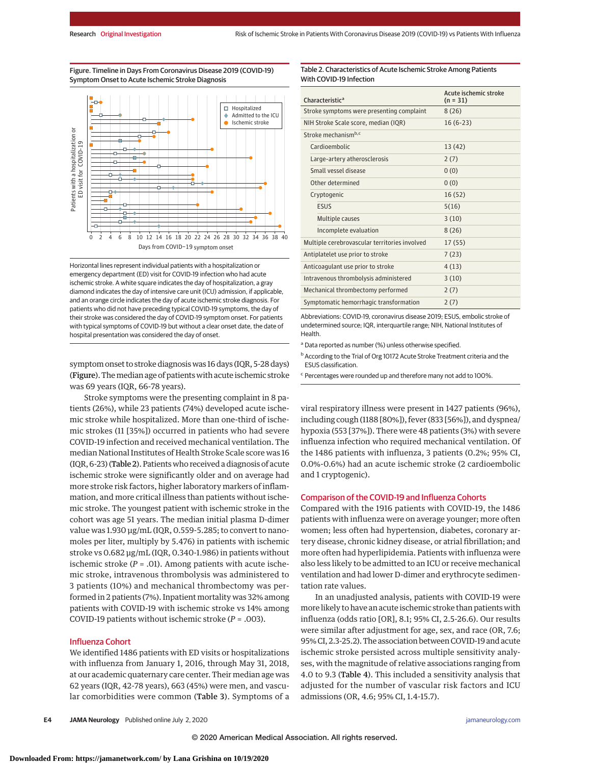Figure. Timeline in Days From Coronavirus Disease 2019 (COVID-19) Symptom Onset to Acute Ischemic Stroke Diagnosis



Horizontal lines represent individual patients with a hospitalization or emergency department (ED) visit for COVID-19 infection who had acute ischemic stroke. A white square indicates the day of hospitalization, a gray diamond indicates the day of intensive care unit (ICU) admission, if applicable, and an orange circle indicates the day of acute ischemic stroke diagnosis. For patients who did not have preceding typical COVID-19 symptoms, the day of their stroke was considered the day of COVID-19 symptom onset. For patients with typical symptoms of COVID-19 but without a clear onset date, the date of hospital presentation was considered the day of onset.

symptom onset to stroke diagnosis was 16 days (IQR, 5-28 days) (Figure). The median age of patients with acute ischemic stroke was 69 years (IQR, 66-78 years).

Stroke symptoms were the presenting complaint in 8 patients (26%), while 23 patients (74%) developed acute ischemic stroke while hospitalized. More than one-third of ischemic strokes (11 [35%]) occurred in patients who had severe COVID-19 infection and received mechanical ventilation. The median National Institutes of Health Stroke Scale score was 16 (IQR, 6-23) (Table 2). Patients who received a diagnosis of acute ischemic stroke were significantly older and on average had more stroke risk factors, higher laboratory markers of inflammation, and more critical illness than patients without ischemic stroke. The youngest patient with ischemic stroke in the cohort was age 51 years. The median initial plasma D-dimer value was 1.930 μg/mL (IQR, 0.559-5.285; to convert to nanomoles per liter, multiply by 5.476) in patients with ischemic stroke vs 0.682 μg/mL (IQR, 0.340-1.986) in patients without ischemic stroke  $(P = .01)$ . Among patients with acute ischemic stroke, intravenous thrombolysis was administered to 3 patients (10%) and mechanical thrombectomy was performed in 2 patients (7%). Inpatient mortality was 32% among patients with COVID-19 with ischemic stroke vs 14% among COVID-19 patients without ischemic stroke (*P* = .003).

#### Influenza Cohort

We identified 1486 patients with ED visits or hospitalizations with influenza from January 1, 2016, through May 31, 2018, at our academic quaternary care center. Their median age was 62 years (IQR, 42-78 years), 663 (45%) were men, and vascular comorbidities were common (Table 3). Symptoms of a

| Table 2. Characteristics of Acute Ischemic Stroke Among Patients |
|------------------------------------------------------------------|
| With COVID-19 Infection                                          |

| Characteristic <sup>a</sup>                   |  | Acute ischemic stroke<br>$(n = 31)$ |
|-----------------------------------------------|--|-------------------------------------|
| Stroke symptoms were presenting complaint     |  | 8(26)                               |
| NIH Stroke Scale score, median (IQR)          |  | $16(6-23)$                          |
| Stroke mechanism <sup>b,c</sup>               |  |                                     |
| Cardioembolic                                 |  | 13 (42)                             |
| Large-artery atherosclerosis                  |  | 2(7)                                |
| Small vessel disease                          |  | 0(0)                                |
| Other determined                              |  | 0(0)                                |
| Cryptogenic                                   |  | 16(52)                              |
| ESUS                                          |  | 5(16)                               |
| Multiple causes                               |  | 3(10)                               |
| Incomplete evaluation                         |  | 8(26)                               |
| Multiple cerebrovascular territories involved |  | 17(55)                              |
| Antiplatelet use prior to stroke              |  | 7(23)                               |
| Anticoagulant use prior to stroke             |  | 4(13)                               |
| Intravenous thrombolysis administered         |  | 3(10)                               |
| Mechanical thrombectomy performed             |  | 2(7)                                |
| Symptomatic hemorrhagic transformation        |  | 2(7)                                |

Abbreviations: COVID-19, coronavirus disease 2019; ESUS, embolic stroke of undetermined source; IQR, interquartile range; NIH, National Institutes of Health.

<sup>a</sup> Data reported as number (%) unless otherwise specified.

<sup>b</sup> According to the Trial of Org 10172 Acute Stroke Treatment criteria and the ESUS classification.

<sup>c</sup> Percentages were rounded up and therefore many not add to 100%.

viral respiratory illness were present in 1427 patients (96%), including cough (1188 [80%]), fever (833 [56%]), and dyspnea/ hypoxia (553 [37%]). There were 48 patients (3%) with severe influenza infection who required mechanical ventilation. Of the 1486 patients with influenza, 3 patients (0.2%; 95% CI, 0.0%-0.6%) had an acute ischemic stroke (2 cardioembolic and 1 cryptogenic).

#### Comparison of the COVID-19 and Influenza Cohorts

Compared with the 1916 patients with COVID-19, the 1486 patients with influenza were on average younger; more often women; less often had hypertension, diabetes, coronary artery disease, chronic kidney disease, or atrial fibrillation; and more often had hyperlipidemia. Patients with influenza were also less likely to be admitted to an ICU or receive mechanical ventilation and had lower D-dimer and erythrocyte sedimentation rate values.

In an unadjusted analysis, patients with COVID-19 were more likely to have an acute ischemic stroke than patients with influenza (odds ratio [OR], 8.1; 95% CI, 2.5-26.6). Our results were similar after adjustment for age, sex, and race (OR, 7.6; 95% CI, 2.3-25.2). The association between COVID-19 and acute ischemic stroke persisted across multiple sensitivity analyses, with the magnitude of relative associations ranging from 4.0 to 9.3 (Table 4). This included a sensitivity analysis that adjusted for the number of vascular risk factors and ICU admissions (OR, 4.6; 95% CI, 1.4-15.7).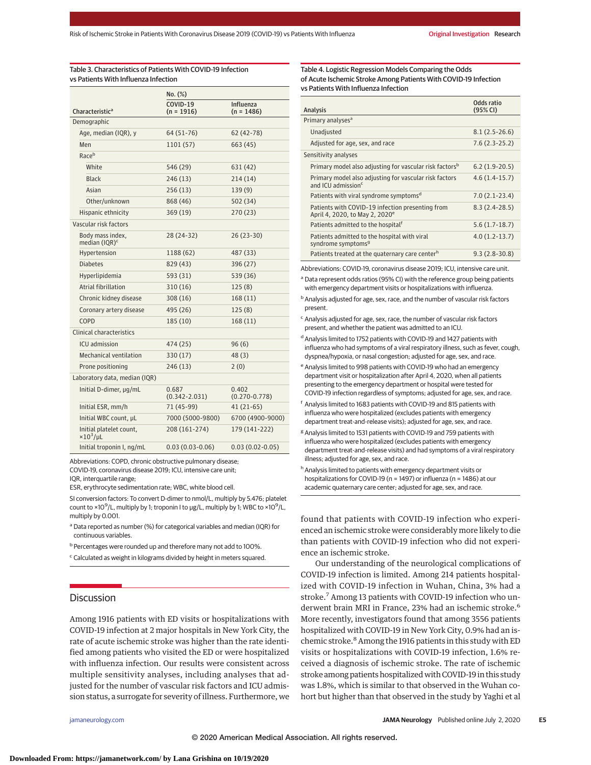## Table 3. Characteristics of Patients With COVID-19 Infection vs Patients With Influenza Infection

|                                                | No. (%)                    |                            |
|------------------------------------------------|----------------------------|----------------------------|
| Characteristic <sup>a</sup>                    | COVID-19<br>$(n = 1916)$   | Influenza<br>$(n = 1486)$  |
| Demographic                                    |                            |                            |
| Age, median (IQR), y                           | $64(51-76)$                | $62(42-78)$                |
| Men                                            | 1101 (57)                  | 663 (45)                   |
| Race <sup>b</sup>                              |                            |                            |
| White                                          | 546 (29)                   | 631 (42)                   |
| <b>Black</b>                                   | 246(13)                    | 214(14)                    |
| Asian                                          | 256(13)                    | 139(9)                     |
| Other/unknown                                  | 868 (46)                   | 502 (34)                   |
| Hispanic ethnicity                             | 369 (19)                   | 270 (23)                   |
| Vascular risk factors                          |                            |                            |
| Body mass index,<br>median $(IQR)^c$           | 28 (24-32)                 | 26 (23-30)                 |
| Hypertension                                   | 1188 (62)                  | 487 (33)                   |
| <b>Diabetes</b>                                | 829 (43)                   | 396 (27)                   |
| Hyperlipidemia                                 | 593 (31)                   | 539 (36)                   |
| Atrial fibrillation                            | 310(16)                    | 125(8)                     |
| Chronic kidney disease                         | 308(16)                    | 168(11)                    |
| Coronary artery disease                        | 495 (26)                   | 125(8)                     |
| COPD                                           | 185 (10)                   | 168 (11)                   |
| Clinical characteristics                       |                            |                            |
| ICU admission                                  | 474 (25)                   | 96(6)                      |
| Mechanical ventilation                         | 330(17)                    | 48 (3)                     |
| Prone positioning                              | 246 (13)                   | 2(0)                       |
| Laboratory data, median (IQR)                  |                            |                            |
| Initial D-dimer, µg/mL                         | 0.687<br>$(0.342 - 2.031)$ | 0.402<br>$(0.270 - 0.778)$ |
| Initial ESR, mm/h                              | 71 (45-99)                 | $41(21-65)$                |
| Initial WBC count, µL                          | 7000 (5000-9800)           | 6700 (4900-9000)           |
| Initial platelet count,<br>$\times 10^3/\mu L$ | 208 (161-274)              | 179 (141-222)              |
| Initial troponin I, ng/mL                      | $0.03(0.03-0.06)$          | $0.03(0.02-0.05)$          |

Abbreviations: COPD, chronic obstructive pulmonary disease; COVID-19, coronavirus disease 2019; ICU, intensive care unit;

IQR, interquartile range; ESR, erythrocyte sedimentation rate; WBC, white blood cell.

SI conversion factors: To convert D-dimer to nmol/L, multiply by 5.476; platelet count to ×10<sup>9</sup>/L, multiply by 1; troponin I to μg/L, multiply by 1; WBC to ×10<sup>9</sup>/L, multiply by 0.001.

- <sup>a</sup> Data reported as number (%) for categorical variables and median (IQR) for continuous variables.
- b Percentages were rounded up and therefore many not add to 100%.
- <sup>c</sup> Calculated as weight in kilograms divided by height in meters squared.

## **Discussion**

Among 1916 patients with ED visits or hospitalizations with COVID-19 infection at 2 major hospitals in New York City, the rate of acute ischemic stroke was higher than the rate identified among patients who visited the ED or were hospitalized with influenza infection. Our results were consistent across multiple sensitivity analyses, including analyses that adjusted for the number of vascular risk factors and ICU admission status, a surrogate for severity of illness. Furthermore, we

#### Table 4. Logistic Regression Models Comparing the Odds of Acute Ischemic Stroke Among Patients With COVID-19 Infection vs Patients With Influenza Infection

| <b>Analysis</b>                                                                                         | Odds ratio<br>(95% CI) |
|---------------------------------------------------------------------------------------------------------|------------------------|
| Primary analyses <sup>a</sup>                                                                           |                        |
| Unadjusted                                                                                              | $8.1(2.5-26.6)$        |
| Adjusted for age, sex, and race                                                                         | $7.6(2.3-25.2)$        |
| Sensitivity analyses                                                                                    |                        |
| Primary model also adjusting for vascular risk factors <sup>b</sup>                                     | $6.2(1.9-20.5)$        |
| Primary model also adjusting for vascular risk factors<br>and $ICU$ admission <sup><math>c</math></sup> | $4.6(1.4-15.7)$        |
| Patients with viral syndrome symptoms <sup>d</sup>                                                      | $7.0(2.1-23.4)$        |
| Patients with COVID-19 infection presenting from<br>April 4, 2020, to May 2, 2020 <sup>e</sup>          | $8.3(2.4-28.5)$        |
| Patients admitted to the hospital <sup>f</sup>                                                          | $5.6(1.7-18.7)$        |
| Patients admitted to the hospital with viral<br>syndrome symptoms <sup>9</sup>                          | $4.0(1.2-13.7)$        |
| Patients treated at the quaternary care center <sup>h</sup>                                             | $9.3(2.8-30.8)$        |

Abbreviations: COVID-19, coronavirus disease 2019; ICU, intensive care unit.

<sup>a</sup> Data represent odds ratios (95% CI) with the reference group being patients with emergency department visits or hospitalizations with influenza.

**b** Analysis adjusted for age, sex, race, and the number of vascular risk factors present.

- $c$  Analysis adjusted for age, sex, race, the number of vascular risk factors present, and whether the patient was admitted to an ICU.
- <sup>d</sup> Analysis limited to 1752 patients with COVID-19 and 1427 patients with influenza who had symptoms of a viral respiratory illness, such as fever, cough, dyspnea/hypoxia, or nasal congestion; adjusted for age, sex, and race.
- <sup>e</sup> Analysis limited to 998 patients with COVID-19 who had an emergency department visit or hospitalization after April 4, 2020, when all patients presenting to the emergency department or hospital were tested for COVID-19 infection regardless of symptoms; adjusted for age, sex, and race.
- <sup>f</sup> Analysis limited to 1683 patients with COVID-19 and 815 patients with influenza who were hospitalized (excludes patients with emergency department treat-and-release visits); adjusted for age, sex, and race.
- <sup>g</sup> Analysis limited to 1531 patients with COVID-19 and 759 patients with influenza who were hospitalized (excludes patients with emergency department treat-and-release visits) and had symptoms of a viral respiratory illness; adjusted for age, sex, and race.
- h Analysis limited to patients with emergency department visits or hospitalizations for COVID-19 (n = 1497) or influenza (n = 1486) at our academic quaternary care center; adjusted for age, sex, and race.

found that patients with COVID-19 infection who experienced an ischemic stroke were considerably more likely to die than patients with COVID-19 infection who did not experience an ischemic stroke.

Our understanding of the neurological complications of COVID-19 infection is limited. Among 214 patients hospitalized with COVID-19 infection in Wuhan, China, 3% had a stroke.<sup>7</sup> Among 13 patients with COVID-19 infection who underwent brain MRI in France, 23% had an ischemic stroke.<sup>6</sup> More recently, investigators found that among 3556 patients hospitalized with COVID-19 in New York City, 0.9% had an ischemic stroke.8 Among the 1916 patients in this study with ED visits or hospitalizations with COVID-19 infection, 1.6% received a diagnosis of ischemic stroke. The rate of ischemic stroke among patients hospitalized with COVID-19 in this study was 1.8%, which is similar to that observed in the Wuhan cohort but higher than that observed in the study by Yaghi et al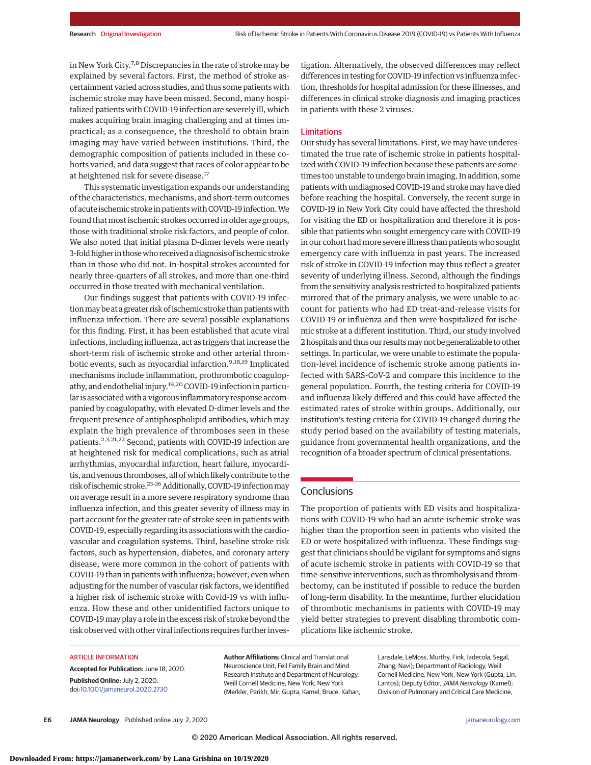in New York City.7,8 Discrepancies in the rate of stroke may be explained by several factors. First, the method of stroke ascertainment varied across studies, and thus some patients with ischemic stroke may have been missed. Second, many hospitalized patients with COVID-19 infection are severely ill, which makes acquiring brain imaging challenging and at times impractical; as a consequence, the threshold to obtain brain imaging may have varied between institutions. Third, the demographic composition of patients included in these cohorts varied, and data suggest that races of color appear to be at heightened risk for severe disease.<sup>17</sup>

This systematic investigation expands our understanding of the characteristics, mechanisms, and short-term outcomes of acute ischemic stroke in patientswith COVID-19 infection.We found that most ischemic strokes occurred in older age groups, those with traditional stroke risk factors, and people of color. We also noted that initial plasma D-dimer levels were nearly 3-foldhigher in thosewho received adiagnosisof ischemic stroke than in those who did not. In-hospital strokes accounted for nearly three-quarters of all strokes, and more than one-third occurred in those treated with mechanical ventilation.

Our findings suggest that patients with COVID-19 infection may be at a greater risk of ischemic stroke than patients with influenza infection. There are several possible explanations for this finding. First, it has been established that acute viral infections, including influenza, act as triggers that increase the short-term risk of ischemic stroke and other arterial thrombotic events, such as myocardial infarction.<sup>9,18,19</sup> Implicated mechanisms include inflammation, prothrombotic coagulopathy, and endothelial injury.19,20 COVID-19 infection in particular is associated with a vigorous inflammatory response accompanied by coagulopathy, with elevated D-dimer levels and the frequent presence of antiphospholipid antibodies, which may explain the high prevalence of thromboses seen in these patients.<sup>2,3,21,22</sup> Second, patients with COVID-19 infection are at heightened risk for medical complications, such as atrial arrhythmias, myocardial infarction, heart failure, myocarditis, and venous thromboses, all of which likely contribute to the risk of ischemic stroke.<sup>23-26</sup> Additionally, COVID-19 infection may on average result in a more severe respiratory syndrome than influenza infection, and this greater severity of illness may in part account for the greater rate of stroke seen in patients with COVID-19, especially regarding its associations with the cardiovascular and coagulation systems. Third, baseline stroke risk factors, such as hypertension, diabetes, and coronary artery disease, were more common in the cohort of patients with COVID-19 than in patients with influenza; however, even when adjusting for the number of vascular risk factors, we identified a higher risk of ischemic stroke with Covid-19 vs with influenza. How these and other unidentified factors unique to COVID-19may play a role in the excess risk of stroke beyond the risk observed with other viral infections requires further investigation. Alternatively, the observed differences may reflect differences in testing for COVID-19 infection vs influenza infection, thresholds for hospital admission for these illnesses, and differences in clinical stroke diagnosis and imaging practices in patients with these 2 viruses.

#### Limitations

Our study has several limitations. First, we may have underestimated the true rate of ischemic stroke in patients hospitalized with COVID-19 infection because these patients are sometimes too unstable to undergo brain imaging. In addition, some patients with undiagnosed COVID-19 and strokemay have died before reaching the hospital. Conversely, the recent surge in COVID-19 in New York City could have affected the threshold for visiting the ED or hospitalization and therefore it is possible that patients who sought emergency care with COVID-19 in our cohort had more severe illness than patients who sought emergency care with influenza in past years. The increased risk of stroke in COVID-19 infection may thus reflect a greater severity of underlying illness. Second, although the findings from the sensitivity analysis restricted to hospitalized patients mirrored that of the primary analysis, we were unable to account for patients who had ED treat-and-release visits for COVID-19 or influenza and then were hospitalized for ischemic stroke at a different institution. Third, our study involved 2hospitals and thus our resultsmaynot be generalizable to other settings. In particular, we were unable to estimate the population-level incidence of ischemic stroke among patients infected with SARS-CoV-2 and compare this incidence to the general population. Fourth, the testing criteria for COVID-19 and influenza likely differed and this could have affected the estimated rates of stroke within groups. Additionally, our institution's testing criteria for COVID-19 changed during the study period based on the availability of testing materials, guidance from governmental health organizations, and the recognition of a broader spectrum of clinical presentations.

## **Conclusions**

The proportion of patients with ED visits and hospitalizations with COVID-19 who had an acute ischemic stroke was higher than the proportion seen in patients who visited the ED or were hospitalized with influenza. These findings suggest that clinicians should be vigilant for symptoms and signs of acute ischemic stroke in patients with COVID-19 so that time-sensitive interventions, such as thrombolysis and thrombectomy, can be instituted if possible to reduce the burden of long-term disability. In the meantime, further elucidation of thrombotic mechanisms in patients with COVID-19 may yield better strategies to prevent disabling thrombotic complications like ischemic stroke.

#### ARTICLE INFORMATION

**Accepted for Publication:** June 18, 2020. **Published Online:** July 2, 2020. doi[:10.1001/jamaneurol.2020.2730](https://jamanetwork.com/journals/jama/fullarticle/10.1001/jamaneurol.2020.2730?utm_campaign=articlePDF%26utm_medium=articlePDFlink%26utm_source=articlePDF%26utm_content=jamaneurol.2020.2730)

**Author Affiliations:** Clinical and Translational Neuroscience Unit, Feil Family Brain and Mind Research Institute and Department of Neurology, Weill Cornell Medicine, New York, New York (Merkler, Parikh, Mir, Gupta, Kamel, Bruce, Kahan,

Lansdale, LeMoss, Murthy, Fink, Iadecola, Segal, Zhang, Navi); Department of Radiology, Weill Cornell Medicine, New York, New York (Gupta, Lin, Lantos); Deputy Editor, JAMA Neurology (Kamel); Division of Pulmonary and Critical Care Medicine,